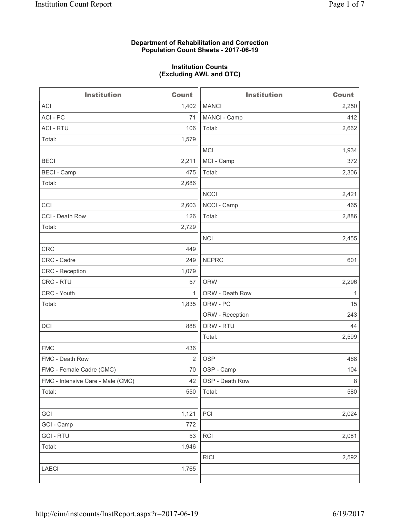### **Department of Rehabilitation and Correction Population Count Sheets - 2017-06-19**

#### **Institution Counts (Excluding AWL and OTC)**

 $-$ 

| <b>Institution</b>                | <b>Count</b> | <b>Institution</b> | <b>Count</b> |
|-----------------------------------|--------------|--------------------|--------------|
| ACI                               | 1,402        | <b>MANCI</b>       | 2,250        |
| ACI - PC                          | 71           | MANCI - Camp       | 412          |
| <b>ACI - RTU</b>                  | 106          | Total:             | 2,662        |
| Total:                            | 1,579        |                    |              |
|                                   |              | MCI                | 1,934        |
| <b>BECI</b>                       | 2,211        | MCI - Camp         | 372          |
| <b>BECI</b> - Camp                | 475          | Total:             | 2,306        |
| Total:                            | 2,686        |                    |              |
|                                   |              | <b>NCCI</b>        | 2,421        |
| CCI                               | 2,603        | NCCI - Camp        | 465          |
| CCI - Death Row                   | 126          | Total:             | 2,886        |
| Total:                            | 2,729        |                    |              |
|                                   |              | <b>NCI</b>         | 2,455        |
| <b>CRC</b>                        | 449          |                    |              |
| CRC - Cadre                       | 249          | <b>NEPRC</b>       | 601          |
| CRC - Reception                   | 1,079        |                    |              |
| CRC - RTU                         | 57           | <b>ORW</b>         | 2,296        |
| CRC - Youth                       | $\mathbf{1}$ | ORW - Death Row    | 1            |
| Total:                            | 1,835        | ORW - PC           | 15           |
|                                   |              | ORW - Reception    | 243          |
| DCI                               | 888          | ORW - RTU          | 44           |
|                                   |              | Total:             | 2,599        |
| <b>FMC</b>                        | 436          |                    |              |
| FMC - Death Row                   | 2            | <b>OSP</b>         | 468          |
| FMC - Female Cadre (CMC)          | 70           | OSP - Camp         | 104          |
| FMC - Intensive Care - Male (CMC) | 42           | OSP - Death Row    | 8            |
| Total:                            | 550          | Total:             | 580          |
|                                   |              |                    |              |
| GCI                               | 1,121        | PCI                | 2,024        |
| GCI - Camp                        | 772          |                    |              |
| <b>GCI-RTU</b>                    | 53           | RCI                | 2,081        |
| Total:                            | 1,946        |                    |              |
|                                   |              | <b>RICI</b>        | 2,592        |
| LAECI                             | 1,765        |                    |              |
|                                   |              |                    |              |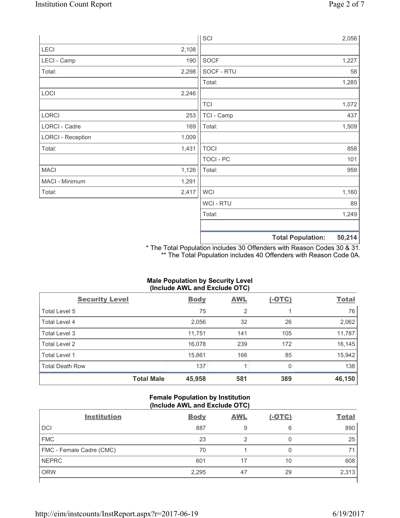|                          |       | SCI            |                          | 2,056  |
|--------------------------|-------|----------------|--------------------------|--------|
| LECI                     | 2,108 |                |                          |        |
| LECI - Camp              | 190   | SOCF           |                          | 1,227  |
| Total:                   | 2,298 | SOCF - RTU     |                          | 58     |
|                          |       | Total:         |                          | 1,285  |
| LOCI                     | 2,246 |                |                          |        |
|                          |       | <b>TCI</b>     |                          | 1,072  |
| LORCI                    | 253   | TCI - Camp     |                          | 437    |
| LORCI - Cadre            | 169   | Total:         |                          | 1,509  |
| <b>LORCI - Reception</b> | 1,009 |                |                          |        |
| Total:                   | 1,431 | <b>TOCI</b>    |                          | 858    |
|                          |       | TOCI - PC      |                          | 101    |
| <b>MACI</b>              | 1,126 | Total:         |                          | 959    |
| MACI - Minimum           | 1,291 |                |                          |        |
| Total:                   | 2,417 | <b>WCI</b>     |                          | 1,160  |
|                          |       | <b>WCI-RTU</b> |                          | 89     |
|                          |       | Total:         |                          | 1,249  |
|                          |       |                | <b>Total Population:</b> | 50,214 |

\* The Total Population includes 30 Offenders with Reason Codes 30 & 31. \*\* The Total Population includes 40 Offenders with Reason Code 0A.

# **Male Population by Security Level (Include AWL and Exclude OTC)**

| $\cdot$<br><b>Security Level</b> | <b>Body</b> | . .<br><b>AWL</b> | $(-OTC)$ | <b>Total</b> |
|----------------------------------|-------------|-------------------|----------|--------------|
| Total Level 5                    | 75          | $\overline{2}$    |          | 76           |
| Total Level 4                    | 2,056       | 32                | 26       | 2,062        |
| Total Level 3                    | 11,751      | 141               | 105      | 11,787       |
| Total Level 2                    | 16,078      | 239               | 172      | 16,145       |
| <b>Total Level 1</b>             | 15,861      | 166               | 85       | 15,942       |
| <b>Total Death Row</b>           | 137         |                   |          | 138          |
| <b>Total Male</b>                | 45,958      | 581               | 389      | 46,150       |

# **Female Population by Institution (Include AWL and Exclude OTC)**

| <b>Institution</b>       | <b>Body</b> | <b>AWL</b> | $(-OTC)$ | <b>Total</b> |
|--------------------------|-------------|------------|----------|--------------|
| <b>DCI</b>               | 887         | 9          | 6        | 890          |
| <b>FMC</b>               | 23          |            | 0        | 25           |
| FMC - Female Cadre (CMC) | 70          |            |          | 71           |
| <b>NEPRC</b>             | 601         |            | 10       | 608          |
| <b>ORW</b>               | 2,295       | 47         | 29       | 2,313        |
|                          |             |            |          |              |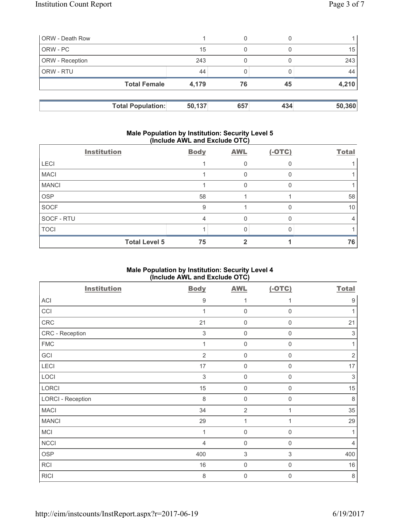| <b>ORW</b> - Death Row |                          |        | 0   |     |        |
|------------------------|--------------------------|--------|-----|-----|--------|
| ORW - PC               |                          | 15     | 0   |     | 15     |
| <b>ORW</b> - Reception |                          | 243    |     |     | 243    |
| l ORW - RTU            |                          | 44     |     |     | 44     |
|                        | <b>Total Female</b>      | 4,179  | 76  | 45  | 4,210  |
|                        |                          |        |     |     |        |
|                        | <b>Total Population:</b> | 50,137 | 657 | 434 | 50,360 |

# **Male Population by Institution: Security Level 5 (Include AWL and Exclude OTC)**

|              | <b>Institution</b>   | <b>Body</b> | <b>AWL</b> | $(-OTC)$ | <b>Total</b> |
|--------------|----------------------|-------------|------------|----------|--------------|
| <b>LECI</b>  |                      |             | 0          |          |              |
| <b>MACI</b>  |                      |             | 0          |          |              |
| <b>MANCI</b> |                      |             | 0          |          |              |
| <b>OSP</b>   |                      | 58          |            |          | 58           |
| <b>SOCF</b>  |                      | 9           |            |          | 10           |
| SOCF - RTU   |                      | 4           | 0          |          | 4            |
| <b>TOCI</b>  |                      |             |            |          |              |
|              | <b>Total Level 5</b> | 75          |            |          | 76           |

# **Male Population by Institution: Security Level 4 (Include AWL and Exclude OTC)**

| <b>Institution</b>       | <b>Body</b>      | <b>AWL</b>                | $(-OTC)$            | <b>Total</b>              |
|--------------------------|------------------|---------------------------|---------------------|---------------------------|
| ACI                      | $\boldsymbol{9}$ | 1                         | 1                   | $\boldsymbol{9}$          |
| CCI                      | 1                | $\mathbf 0$               | $\mathbf 0$         | 1                         |
| ${\sf CRC}$              | 21               | $\mathbf 0$               | $\boldsymbol{0}$    | 21                        |
| CRC - Reception          | $\sqrt{3}$       | $\mathsf{O}\xspace$       | $\mathsf{O}\xspace$ | $\ensuremath{\mathsf{3}}$ |
| <b>FMC</b>               | 1                | $\mathsf{O}\xspace$       | $\mathbf 0$         | 1                         |
| GCI                      | $\overline{2}$   | $\mathsf{O}\xspace$       | $\boldsymbol{0}$    | $\sqrt{2}$                |
| LECI                     | 17               | $\mathsf{O}\xspace$       | 0                   | 17                        |
| LOCI                     | 3                | $\mathsf{O}\xspace$       | $\mathsf{0}$        | 3                         |
| LORCI                    | 15               | $\mathsf{O}\xspace$       | $\boldsymbol{0}$    | 15                        |
| <b>LORCI - Reception</b> | 8                | $\mathsf{O}\xspace$       | $\mathbf 0$         | $\,8\,$                   |
| <b>MACI</b>              | 34               | $\overline{2}$            | $\mathbf{1}$        | 35                        |
| <b>MANCI</b>             | 29               | $\mathbf{1}$              | 1                   | 29                        |
| <b>MCI</b>               | 1                | $\mathbf 0$               | $\mathbf 0$         | 1                         |
| <b>NCCI</b>              | $\overline{4}$   | 0                         | 0                   | $\overline{4}$            |
| <b>OSP</b>               | 400              | $\ensuremath{\mathsf{3}}$ | 3                   | 400                       |
| RCI                      | 16               | $\mathbf 0$               | $\mathbf 0$         | 16                        |
| <b>RICI</b>              | 8                | $\mathbf 0$               | $\boldsymbol{0}$    | $\,8\,$                   |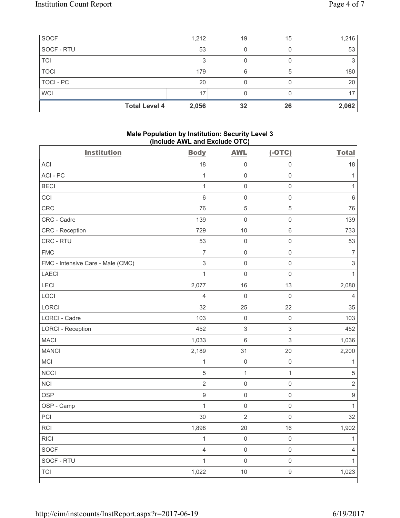| SOCF                 | 1,212 | 19 | 15 | 1,216 |
|----------------------|-------|----|----|-------|
| SOCF - RTU           | 53    |    |    | 53    |
| <b>TCI</b>           | 3     |    |    |       |
| <b>TOCI</b>          | 179   | 6  | 5  | 180   |
| <b>TOCI - PC</b>     | 20    |    |    | 20    |
| <b>WCI</b>           | 17    |    |    | 17    |
| <b>Total Level 4</b> | 2,056 | 32 | 26 | 2,062 |

### **Male Population by Institution: Security Level 3 (Include AWL and Exclude OTC)**

| <b>Institution</b>                | <b>Body</b>      | <b>AWL</b>          | $(-OTC)$            | <b>Total</b>             |
|-----------------------------------|------------------|---------------------|---------------------|--------------------------|
| <b>ACI</b>                        | 18               | 0                   | 0                   | 18                       |
| ACI-PC                            | $\mathbf{1}$     | $\mathsf 0$         | $\mathsf{O}\xspace$ | $\mathbf{1}$             |
| <b>BECI</b>                       | $\mathbf{1}$     | $\mathsf{O}\xspace$ | $\mathsf{O}\xspace$ | $\mathbf{1}$             |
| CCI                               | $\,6\,$          | $\mathsf 0$         | $\mathsf{O}\xspace$ | $\,6$                    |
| CRC                               | 76               | 5                   | 5                   | 76                       |
| CRC - Cadre                       | 139              | $\mathsf{O}\xspace$ | $\mathsf{O}\xspace$ | 139                      |
| CRC - Reception                   | 729              | 10                  | $\,6\,$             | 733                      |
| CRC - RTU                         | 53               | $\mathbf 0$         | $\mathsf{O}\xspace$ | 53                       |
| <b>FMC</b>                        | $\overline{7}$   | $\mathbf 0$         | $\mathsf{O}\xspace$ | $\overline{\mathcal{I}}$ |
| FMC - Intensive Care - Male (CMC) | $\mathfrak{S}$   | $\mathsf{O}\xspace$ | $\mathsf 0$         | $\mathbf{3}$             |
| <b>LAECI</b>                      | $\mathbf{1}$     | $\mathsf{O}\xspace$ | $\mathsf{O}\xspace$ | $\mathbf{1}$             |
| LECI                              | 2,077            | 16                  | 13                  | 2,080                    |
| LOCI                              | $\overline{4}$   | $\mathbf 0$         | $\mathsf{O}\xspace$ | $\overline{4}$           |
| LORCI                             | 32               | 25                  | 22                  | 35                       |
| <b>LORCI - Cadre</b>              | 103              | $\mathsf 0$         | $\mathsf 0$         | 103                      |
| <b>LORCI - Reception</b>          | 452              | 3                   | 3                   | 452                      |
| <b>MACI</b>                       | 1,033            | 6                   | 3                   | 1,036                    |
| <b>MANCI</b>                      | 2,189            | 31                  | 20                  | 2,200                    |
| MCI                               | $\mathbf{1}$     | $\mathbf 0$         | $\mathsf{O}\xspace$ | $\mathbf 1$              |
| <b>NCCI</b>                       | $\sqrt{5}$       | $\mathbf 1$         | $\mathbf{1}$        | $\sqrt{5}$               |
| <b>NCI</b>                        | $\overline{2}$   | $\mathsf{O}\xspace$ | $\mathsf{O}\xspace$ | $\overline{2}$           |
| <b>OSP</b>                        | $\boldsymbol{9}$ | $\mathsf{O}\xspace$ | $\mathsf{O}\xspace$ | $\hbox{9}$               |
| OSP - Camp                        | $\mathbf{1}$     | $\mathbf 0$         | $\mathsf 0$         | $\mathbf{1}$             |
| PCI                               | 30               | $\sqrt{2}$          | $\mathsf{O}\xspace$ | 32                       |
| <b>RCI</b>                        | 1,898            | 20                  | 16                  | 1,902                    |
| <b>RICI</b>                       | $\mathbf{1}$     | $\mathbf 0$         | $\mathsf{O}\xspace$ | $\mathbf{1}$             |
| <b>SOCF</b>                       | $\overline{4}$   | $\mathsf{O}\xspace$ | $\mathsf{O}\xspace$ | $\overline{4}$           |
| SOCF - RTU                        | $\mathbf{1}$     | $\mathbf 0$         | $\mathsf{O}\xspace$ | $\mathbf{1}$             |
| <b>TCI</b>                        | 1,022            | 10                  | $\boldsymbol{9}$    | 1,023                    |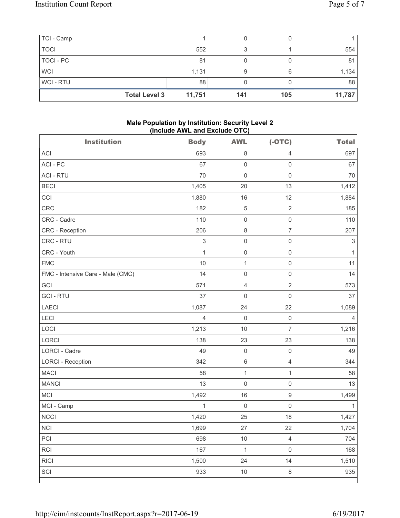| TCI - Camp  |                      |        |     |     |        |
|-------------|----------------------|--------|-----|-----|--------|
| <b>TOCI</b> |                      | 552    |     |     | 554    |
| TOCI - PC   |                      | 81     |     |     | 81     |
| <b>WCI</b>  |                      | 1,131  | 9   |     | 1,134  |
| WCI-RTU     |                      | 88     |     |     | 88     |
|             | <b>Total Level 3</b> | 11,751 | 141 | 105 | 11,787 |

# **Male Population by Institution: Security Level 2 (Include AWL and Exclude OTC)**

| <b>Institution</b>                | <b>Body</b>               | <b>AWL</b>          | $(-OTC)$            | <b>Total</b>              |
|-----------------------------------|---------------------------|---------------------|---------------------|---------------------------|
| <b>ACI</b>                        | 693                       | 8                   | 4                   | 697                       |
| ACI-PC                            | 67                        | $\mathsf 0$         | $\mathbf 0$         | 67                        |
| <b>ACI - RTU</b>                  | 70                        | $\mathbf 0$         | $\mathsf 0$         | 70                        |
| <b>BECI</b>                       | 1,405                     | 20                  | 13                  | 1,412                     |
| CCI                               | 1,880                     | 16                  | 12                  | 1,884                     |
| <b>CRC</b>                        | 182                       | $\sqrt{5}$          | $\overline{2}$      | 185                       |
| CRC - Cadre                       | 110                       | $\mathsf{O}\xspace$ | $\mathsf 0$         | 110                       |
| CRC - Reception                   | 206                       | $\,8\,$             | $\overline{7}$      | 207                       |
| CRC - RTU                         | $\ensuremath{\mathsf{3}}$ | $\mathsf{O}\xspace$ | $\mathsf{O}\xspace$ | $\ensuremath{\mathsf{3}}$ |
| CRC - Youth                       | $\mathbf{1}$              | $\mathsf{O}\xspace$ | $\mathsf 0$         | 1                         |
| <b>FMC</b>                        | 10                        | $\mathbf{1}$        | $\mathsf{O}\xspace$ | 11                        |
| FMC - Intensive Care - Male (CMC) | 14                        | $\mathsf{O}\xspace$ | $\mathsf 0$         | 14                        |
| GCI                               | 571                       | $\overline{4}$      | $\overline{2}$      | 573                       |
| <b>GCI-RTU</b>                    | 37                        | $\mathbf 0$         | $\mathsf{O}\xspace$ | 37                        |
| <b>LAECI</b>                      | 1,087                     | 24                  | 22                  | 1,089                     |
| LECI                              | $\overline{4}$            | $\mathsf{O}\xspace$ | $\mathsf{O}\xspace$ | 4                         |
| LOCI                              | 1,213                     | 10                  | $\overline{7}$      | 1,216                     |
| LORCI                             | 138                       | 23                  | 23                  | 138                       |
| LORCI - Cadre                     | 49                        | $\mathsf{O}\xspace$ | $\mathsf 0$         | 49                        |
| <b>LORCI - Reception</b>          | 342                       | $\,6\,$             | $\overline{4}$      | 344                       |
| <b>MACI</b>                       | 58                        | $\mathbf 1$         | $\mathbf{1}$        | 58                        |
| <b>MANCI</b>                      | 13                        | $\mathsf{O}\xspace$ | $\mathsf{O}\xspace$ | 13                        |
| MCI                               | 1,492                     | 16                  | $\mathsf 9$         | 1,499                     |
| MCI - Camp                        | $\mathbf{1}$              | $\mathbf 0$         | $\mathbf 0$         | 1                         |
| <b>NCCI</b>                       | 1,420                     | 25                  | 18                  | 1,427                     |
| $\sf NCI$                         | 1,699                     | 27                  | 22                  | 1,704                     |
| PCI                               | 698                       | $10$                | $\overline{4}$      | 704                       |
| RCI                               | 167                       | $\mathbf{1}$        | $\mathsf 0$         | 168                       |
| <b>RICI</b>                       | 1,500                     | 24                  | 14                  | 1,510                     |
| SCI                               | 933                       | $10$                | $\,8\,$             | 935                       |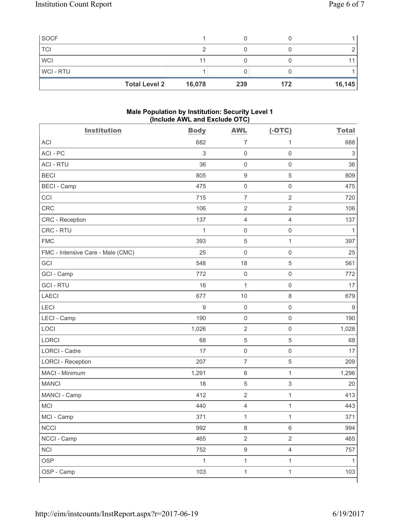| <b>Total Level 2</b> | 16,078 | 239 | 172 | 16, 145 |
|----------------------|--------|-----|-----|---------|
| <b>WCI-RTU</b>       |        |     |     |         |
| <b>WCI</b>           | 11     |     |     |         |
| <b>TCI</b>           |        |     |     |         |
| <b>SOCF</b>          |        |     |     |         |

### **Male Population by Institution: Security Level 1 (Include AWL and Exclude OTC)**

| <b>Institution</b>                | <b>Body</b>               | <b>AWL</b>              | $(-OTC)$            | <b>Total</b> |
|-----------------------------------|---------------------------|-------------------------|---------------------|--------------|
| <b>ACI</b>                        | 682                       | 7                       | 1                   | 688          |
| ACI-PC                            | $\ensuremath{\mathsf{3}}$ | $\mathsf 0$             | $\mathsf{O}\xspace$ | 3            |
| <b>ACI - RTU</b>                  | 36                        | $\mathsf 0$             | $\mathsf{O}\xspace$ | 36           |
| <b>BECI</b>                       | 805                       | $\boldsymbol{9}$        | 5                   | 809          |
| <b>BECI - Camp</b>                | 475                       | $\mathsf 0$             | $\mathsf 0$         | 475          |
| CCI                               | 715                       | $\overline{7}$          | $\overline{2}$      | 720          |
| CRC                               | 106                       | $\overline{c}$          | $\overline{2}$      | 106          |
| <b>CRC</b> - Reception            | 137                       | $\overline{4}$          | $\overline{4}$      | 137          |
| CRC - RTU                         | 1                         | $\mathbf 0$             | $\mathsf{O}\xspace$ | $\mathbf{1}$ |
| <b>FMC</b>                        | 393                       | 5                       | $\mathbf{1}$        | 397          |
| FMC - Intensive Care - Male (CMC) | 25                        | 0                       | $\mathsf{O}\xspace$ | 25           |
| GCI                               | 548                       | 18                      | $\,$ 5 $\,$         | 561          |
| GCI - Camp                        | 772                       | $\mathsf 0$             | $\mathsf 0$         | 772          |
| <b>GCI-RTU</b>                    | 16                        | $\mathbf{1}$            | $\mathsf{O}\xspace$ | 17           |
| <b>LAECI</b>                      | 677                       | $10$                    | $\,8\,$             | 679          |
| LECI                              | 9                         | $\mathbf 0$             | $\mathsf{O}\xspace$ | $9\,$        |
| LECI - Camp                       | 190                       | $\mathsf 0$             | $\mathsf 0$         | 190          |
| LOCI                              | 1,026                     | $\sqrt{2}$              | $\mathsf{O}\xspace$ | 1,028        |
| <b>LORCI</b>                      | 68                        | 5                       | 5                   | 68           |
| LORCI - Cadre                     | 17                        | $\mathbf 0$             | $\mathsf{O}\xspace$ | 17           |
| <b>LORCI - Reception</b>          | 207                       | $\overline{7}$          | 5                   | 209          |
| MACI - Minimum                    | 1,291                     | 6                       | 1                   | 1,296        |
| <b>MANCI</b>                      | 18                        | 5                       | $\mathsf 3$         | 20           |
| MANCI - Camp                      | 412                       | $\overline{\mathbf{c}}$ | $\mathbf{1}$        | 413          |
| MCI                               | 440                       | 4                       | $\mathbf{1}$        | 443          |
| MCI - Camp                        | 371                       | $\mathbf{1}$            | $\mathbf{1}$        | 371          |
| <b>NCCI</b>                       | 992                       | 8                       | $\,6\,$             | 994          |
| NCCI - Camp                       | 465                       | $\overline{2}$          | $\overline{2}$      | 465          |
| <b>NCI</b>                        | 752                       | $\boldsymbol{9}$        | $\overline{4}$      | 757          |
| <b>OSP</b>                        | $\mathbf{1}$              | $\mathbf{1}$            | $\mathbf{1}$        | $\mathbf{1}$ |
| OSP - Camp                        | 103                       | $\mathbf 1$             | $\mathbf{1}$        | 103          |